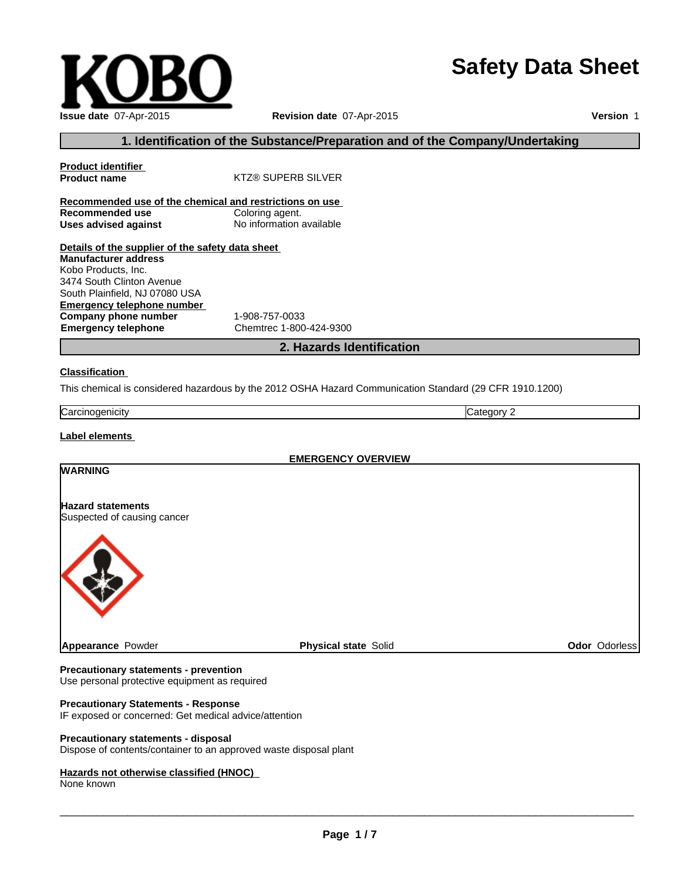# **Safety Data Sheet**

## **Revision date** 07-Apr-2015

**Version** 1

# **1. Identification of the Substance/Preparation and of the Company/Undertaking**

| <b>Product identifier</b>                               |                           |
|---------------------------------------------------------|---------------------------|
| <b>Product name</b>                                     | <b>KTZ® SUPERB SILVER</b> |
|                                                         |                           |
| Recommended use of the chemical and restrictions on use |                           |
| Recommended use                                         | Coloring agent.           |
| Uses advised against                                    | No information available  |
|                                                         |                           |
| Details of the supplier of the safety data sheet        |                           |
| <b>Manufacturer address</b>                             |                           |
| Kobo Products, Inc.                                     |                           |
| 3474 South Clinton Avenue                               |                           |
| South Plainfield, NJ 07080 USA                          |                           |
| Emergency telephone number                              |                           |
| Company phone number                                    | 1-908-757-0033            |
| <b>Emergency telephone</b>                              | Chemtrec 1-800-424-9300   |

## **2. Hazards Identification**

#### **Classification**

This chemical is considered hazardous by the 2012 OSHA Hazard Communication Standard (29 CFR 1910.1200)

| nogenicity<br>arrث<br>. .<br>ື | И<br>.∟דר |
|--------------------------------|-----------|

## **Label elements**

| <b>EMERGENCY OVERVIEW</b>                               |                             |               |
|---------------------------------------------------------|-----------------------------|---------------|
| <b>WARNING</b>                                          |                             |               |
| <b>Hazard statements</b><br>Suspected of causing cancer |                             |               |
|                                                         |                             |               |
| Appearance Powder                                       | <b>Physical state Solid</b> | Odor Odorless |

#### **Precautionary statements - prevention**

Use personal protective equipment as required

## **Precautionary Statements - Response**

IF exposed or concerned: Get medical advice/attention

#### **Precautionary statements - disposal**

Dispose of contents/container to an approved waste disposal plant

#### **Hazards not otherwise classified (HNOC)**

None known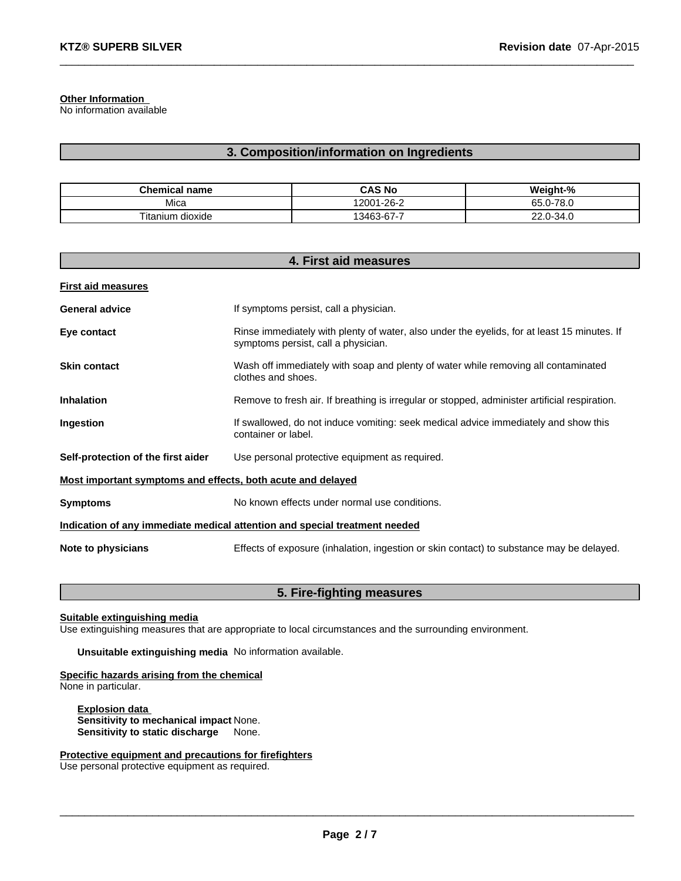**Other Information**

No information available

# **3. Composition/information on Ingredients**

 $\_$  , and the set of the set of the set of the set of the set of the set of the set of the set of the set of the set of the set of the set of the set of the set of the set of the set of the set of the set of the set of th

| <b>Chemical name</b>  | <b>CAS No</b> | Weight-%  |
|-----------------------|---------------|-----------|
| Mica                  | 12001-26-2    | 65.0-78.0 |
| ı dioxide<br>Titanium | 13463-67-7    | 22.0-34.0 |

| 4. First aid measures                                                      |                                                                                                                                    |  |
|----------------------------------------------------------------------------|------------------------------------------------------------------------------------------------------------------------------------|--|
| <b>First aid measures</b>                                                  |                                                                                                                                    |  |
| <b>General advice</b>                                                      | If symptoms persist, call a physician.                                                                                             |  |
| Eye contact                                                                | Rinse immediately with plenty of water, also under the eyelids, for at least 15 minutes. If<br>symptoms persist, call a physician. |  |
| <b>Skin contact</b>                                                        | Wash off immediately with soap and plenty of water while removing all contaminated<br>clothes and shoes.                           |  |
| <b>Inhalation</b>                                                          | Remove to fresh air. If breathing is irregular or stopped, administer artificial respiration.                                      |  |
| Ingestion                                                                  | If swallowed, do not induce vomiting: seek medical advice immediately and show this<br>container or label.                         |  |
| Self-protection of the first aider                                         | Use personal protective equipment as required.                                                                                     |  |
| Most important symptoms and effects, both acute and delayed                |                                                                                                                                    |  |
| <b>Symptoms</b>                                                            | No known effects under normal use conditions.                                                                                      |  |
| Indication of any immediate medical attention and special treatment needed |                                                                                                                                    |  |
| Note to physicians                                                         | Effects of exposure (inhalation, ingestion or skin contact) to substance may be delayed.                                           |  |

# **5. Fire-fighting measures**

**Suitable extinguishing media**

Use extinguishing measures that are appropriate to local circumstances and the surrounding environment.

**Unsuitable extinguishing media** No information available.

**Specific hazards arising from the chemical**

None in particular.

**Explosion data Sensitivity to mechanical impact** None. **Sensitivity to static discharge** 

**Protective equipment and precautions for firefighters**

Use personal protective equipment as required.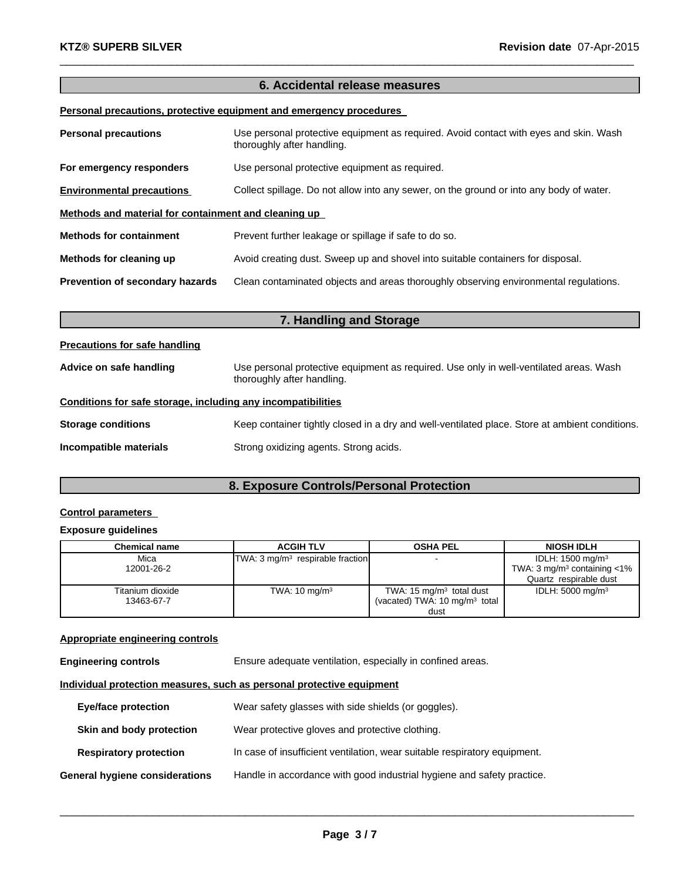# **6. Accidental release measures**

 $\_$  , and the set of the set of the set of the set of the set of the set of the set of the set of the set of the set of the set of the set of the set of the set of the set of the set of the set of the set of the set of th

## **Personal precautions, protective equipment and emergency procedures**

| <b>Personal precautions</b>                          | Use personal protective equipment as required. Avoid contact with eyes and skin. Wash<br>thoroughly after handling. |  |
|------------------------------------------------------|---------------------------------------------------------------------------------------------------------------------|--|
| For emergency responders                             | Use personal protective equipment as required.                                                                      |  |
| <b>Environmental precautions</b>                     | Collect spillage. Do not allow into any sewer, on the ground or into any body of water.                             |  |
| Methods and material for containment and cleaning up |                                                                                                                     |  |
| <b>Methods for containment</b>                       | Prevent further leakage or spillage if safe to do so.                                                               |  |
| Methods for cleaning up                              | Avoid creating dust. Sweep up and shovel into suitable containers for disposal.                                     |  |
| Prevention of secondary hazards                      | Clean contaminated objects and areas thoroughly observing environmental regulations.                                |  |

| 7. Handling and Storage                                      |                                                                                                                      |  |
|--------------------------------------------------------------|----------------------------------------------------------------------------------------------------------------------|--|
| <b>Precautions for safe handling</b>                         |                                                                                                                      |  |
| Advice on safe handling                                      | Use personal protective equipment as required. Use only in well-ventilated areas. Wash<br>thoroughly after handling. |  |
| Conditions for safe storage, including any incompatibilities |                                                                                                                      |  |
| <b>Storage conditions</b>                                    | Keep container tightly closed in a dry and well-ventilated place. Store at ambient conditions.                       |  |
| Incompatible materials                                       | Strong oxidizing agents. Strong acids.                                                                               |  |

# **8. Exposure Controls/Personal Protection**

# **Control parameters**

## **Exposure guidelines**

| <b>Chemical name</b> | <b>ACGIH TLV</b>                            | <b>OSHA PEL</b>                          | <b>NIOSH IDLH</b>                            |
|----------------------|---------------------------------------------|------------------------------------------|----------------------------------------------|
| Mica                 | TWA: $3 \text{ mq/m}^3$ respirable fraction | $\overline{\phantom{a}}$                 | IDLH: 1500 mg/m <sup>3</sup>                 |
| 12001-26-2           |                                             |                                          | TWA: $3 \text{ mg/m}^3$ containing $\lt 1\%$ |
|                      |                                             |                                          | Quartz respirable dust                       |
| Titanium dioxide     | TWA: $10 \text{ mg/m}^3$                    | TWA: $15 \text{ mg/m}^3$ total dust      | IDLH: $5000 \text{ mg/m}^3$                  |
| 13463-67-7           |                                             | (vacated) TWA: $10 \text{ mg/m}^3$ total |                                              |
|                      |                                             | dust                                     |                                              |

## **Appropriate engineering controls**

| <b>Engineering controls</b> | Ensure adequate ventilation, especially in confined areas. |
|-----------------------------|------------------------------------------------------------|
|                             |                                                            |

## **Individual protection measures, such as personal protective equipment**

| <b>Eye/face protection</b>     | Wear safety glasses with side shields (or goggles).                       |
|--------------------------------|---------------------------------------------------------------------------|
| Skin and body protection       | Wear protective gloves and protective clothing.                           |
| <b>Respiratory protection</b>  | In case of insufficient ventilation, wear suitable respiratory equipment. |
| General hygiene considerations | Handle in accordance with good industrial hygiene and safety practice.    |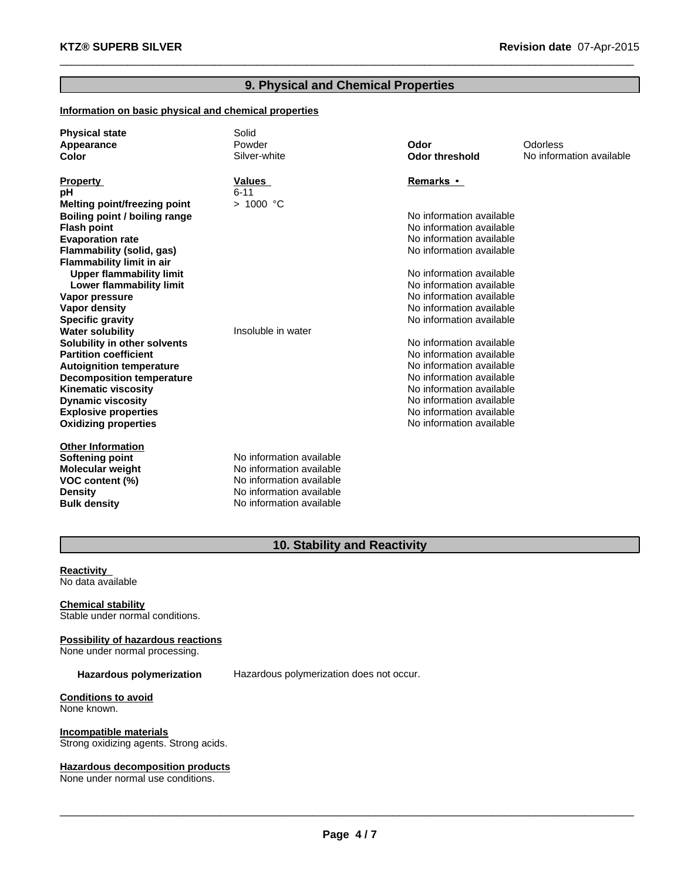# **9. Physical and Chemical Properties**

 $\_$  , and the set of the set of the set of the set of the set of the set of the set of the set of the set of the set of the set of the set of the set of the set of the set of the set of the set of the set of the set of th

## **Information on basic physical and chemical properties**

| <b>Physical state</b>               | Solid                    |                          |                          |
|-------------------------------------|--------------------------|--------------------------|--------------------------|
| Appearance                          | Powder                   | Odor                     | Odorless                 |
| Color                               | Silver-white             | <b>Odor threshold</b>    | No information available |
| <b>Property</b>                     | Values                   | Remarks •                |                          |
| рH                                  | $6 - 11$                 |                          |                          |
| <b>Melting point/freezing point</b> | > 1000 °C                |                          |                          |
| Boiling point / boiling range       |                          | No information available |                          |
| <b>Flash point</b>                  |                          | No information available |                          |
| <b>Evaporation rate</b>             |                          | No information available |                          |
| Flammability (solid, gas)           |                          | No information available |                          |
| <b>Flammability limit in air</b>    |                          |                          |                          |
| <b>Upper flammability limit</b>     |                          | No information available |                          |
| Lower flammability limit            |                          | No information available |                          |
| Vapor pressure                      |                          | No information available |                          |
| <b>Vapor density</b>                |                          | No information available |                          |
| <b>Specific gravity</b>             |                          | No information available |                          |
| <b>Water solubility</b>             | Insoluble in water       |                          |                          |
| Solubility in other solvents        |                          | No information available |                          |
| <b>Partition coefficient</b>        |                          | No information available |                          |
| <b>Autoignition temperature</b>     |                          | No information available |                          |
| <b>Decomposition temperature</b>    |                          | No information available |                          |
| <b>Kinematic viscosity</b>          |                          | No information available |                          |
| <b>Dynamic viscosity</b>            |                          | No information available |                          |
| <b>Explosive properties</b>         |                          | No information available |                          |
| <b>Oxidizing properties</b>         |                          | No information available |                          |
| <b>Other Information</b>            |                          |                          |                          |
| Softening point                     | No information available |                          |                          |
| Molecular weight                    | No information available |                          |                          |
| VOC content (%)                     | No information available |                          |                          |
| <b>Density</b>                      | No information available |                          |                          |
| <b>Bulk density</b>                 | No information available |                          |                          |

# **10. Stability and Reactivity**

#### **Reactivity** No data available

**Chemical stability** Stable under normal conditions.

**Possibility of hazardous reactions** None under normal processing.

**Hazardous polymerization** Hazardous polymerization does not occur.

**Conditions to avoid** None known.

**Incompatible materials** Strong oxidizing agents. Strong acids.

**Hazardous decomposition products**

None under normal use conditions.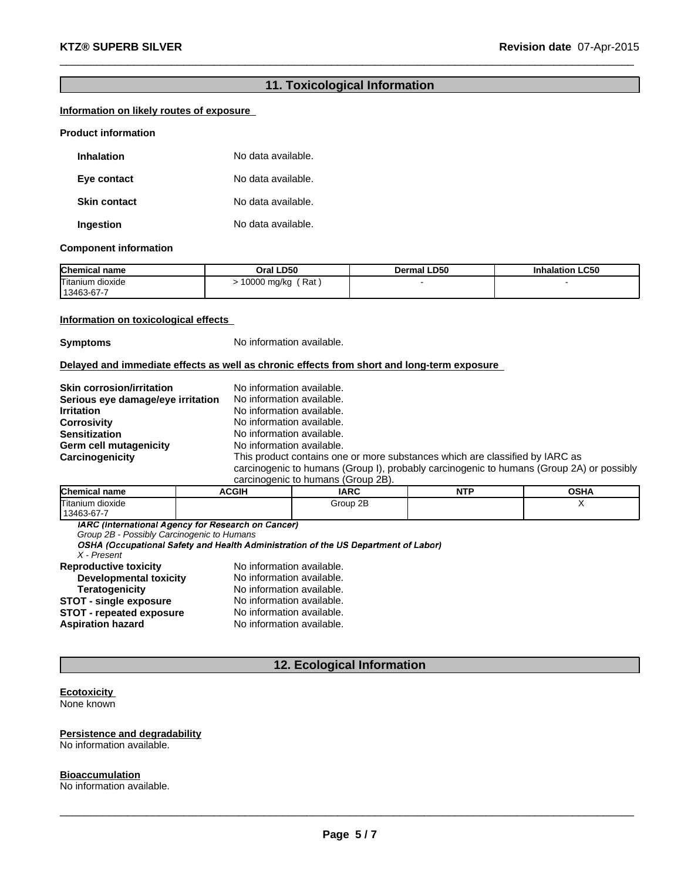# **11. Toxicological Information**

 $\_$  , and the set of the set of the set of the set of the set of the set of the set of the set of the set of the set of the set of the set of the set of the set of the set of the set of the set of the set of the set of th

## **Information on likely routes of exposure**

#### **Product information**

| <b>Inhalation</b>   | No data available. |
|---------------------|--------------------|
| Eye contact         | No data available. |
| <b>Skin contact</b> | No data available. |
| Ingestion           | No data available. |

#### **Component information**

| <b>Chemical name</b>           | Oral LD50          | <b>Dermal LD50</b> | <b>Inhalation LC50</b> |
|--------------------------------|--------------------|--------------------|------------------------|
| Titanium dioxide<br>13463-67-7 | Rat<br>10000 mg/kg |                    |                        |

## **Information on toxicological effects**

**Symptoms** No information available.

**Delayed and immediate effects as well as chronic effects from short and long-term exposure**

| <b>Skin corrosion/irritation</b>  | No information available.                                                                                                                                                |
|-----------------------------------|--------------------------------------------------------------------------------------------------------------------------------------------------------------------------|
| Serious eye damage/eye irritation | No information available.                                                                                                                                                |
| <b>Irritation</b>                 | No information available.                                                                                                                                                |
| <b>Corrosivity</b>                | No information available.                                                                                                                                                |
| <b>Sensitization</b>              | No information available.                                                                                                                                                |
| Germ cell mutagenicity            | No information available.                                                                                                                                                |
| Carcinogenicity                   | This product contains one or more substances which are classified by IARC as<br>carcinogenic to humans (Group I), probably carcinogenic to humans (Group 2A) or possibly |

carcinogenic to humans (Group 2B).

| <b>Chemical name</b>    | <b>ACGIH</b> | <b>IARC</b> | .<br>. .<br>. | <b>OSHA</b> |
|-------------------------|--------------|-------------|---------------|-------------|
| $-$<br>Titanium dioxide |              | 2B<br>Group |               |             |
| 13463-67-7              |              |             |               |             |

*Group 2B - Possibly Carcinogenic to Humans*

*X - Present*

| <b>Reproductive toxicity</b>    | No information available. |
|---------------------------------|---------------------------|
| <b>Developmental toxicity</b>   | No information available. |
| <b>Teratogenicity</b>           | No information available. |
| <b>STOT - single exposure</b>   | No information available. |
| <b>STOT - repeated exposure</b> | No information available. |
| <b>Aspiration hazard</b>        | No information available. |
|                                 |                           |

## **12. Ecological Information**

#### **Ecotoxicity** None known

#### **Persistence and degradability** No information available.

**Bioaccumulation** No information available.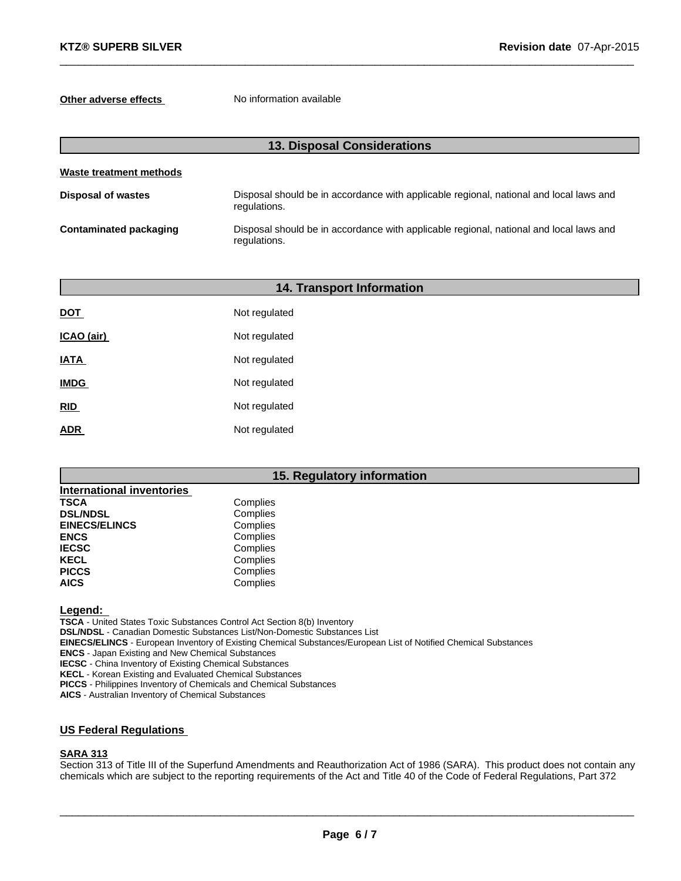**Other adverse effects** No information available

| <b>13. Disposal Considerations</b> |                                                                                                        |  |
|------------------------------------|--------------------------------------------------------------------------------------------------------|--|
| <b>Waste treatment methods</b>     |                                                                                                        |  |
| <b>Disposal of wastes</b>          | Disposal should be in accordance with applicable regional, national and local laws and<br>regulations. |  |
| <b>Contaminated packaging</b>      | Disposal should be in accordance with applicable regional, national and local laws and<br>regulations. |  |

 $\_$  , and the set of the set of the set of the set of the set of the set of the set of the set of the set of the set of the set of the set of the set of the set of the set of the set of the set of the set of the set of th

| 14. Transport Information |               |  |  |
|---------------------------|---------------|--|--|
| <b>DOT</b>                | Not regulated |  |  |
| ICAO (air)                | Not regulated |  |  |
| <b>IATA</b>               | Not regulated |  |  |
| <b>IMDG</b>               | Not regulated |  |  |
| RID                       | Not regulated |  |  |
| <b>ADR</b>                | Not regulated |  |  |
|                           |               |  |  |

## **15. Regulatory information**

| <b>International inventories</b> |          |
|----------------------------------|----------|
| <b>TSCA</b>                      | Complies |
| <b>DSL/NDSL</b>                  | Complies |
| <b>EINECS/ELINCS</b>             | Complies |
| <b>ENCS</b>                      | Complies |
| <b>IECSC</b>                     | Complies |
| <b>KECL</b>                      | Complies |
| <b>PICCS</b>                     | Complies |
| <b>AICS</b>                      | Complies |

**Legend:**

**TSCA** - United States Toxic Substances Control Act Section 8(b) Inventory

**DSL/NDSL** - Canadian Domestic Substances List/Non-Domestic Substances List

**EINECS/ELINCS** - European Inventory of Existing Chemical Substances/European List of Notified Chemical Substances

**ENCS** - Japan Existing and New Chemical Substances

**IECSC** - China Inventory of Existing Chemical Substances

**KECL** - Korean Existing and Evaluated Chemical Substances

**PICCS** - Philippines Inventory of Chemicals and Chemical Substances

**AICS** - Australian Inventory of Chemical Substances

## **US Federal Regulations**

### **SARA 313**

Section 313 of Title III of the Superfund Amendments and Reauthorization Act of 1986 (SARA). This product does not contain any chemicals which are subject to the reporting requirements of the Act and Title 40 of the Code of Federal Regulations, Part 372

 $\_$  ,  $\_$  ,  $\_$  ,  $\_$  ,  $\_$  ,  $\_$  ,  $\_$  ,  $\_$  ,  $\_$  ,  $\_$  ,  $\_$  ,  $\_$  ,  $\_$  ,  $\_$  ,  $\_$  ,  $\_$  ,  $\_$  ,  $\_$  ,  $\_$  ,  $\_$  ,  $\_$  ,  $\_$  ,  $\_$  ,  $\_$  ,  $\_$  ,  $\_$  ,  $\_$  ,  $\_$  ,  $\_$  ,  $\_$  ,  $\_$  ,  $\_$  ,  $\_$  ,  $\_$  ,  $\_$  ,  $\_$  ,  $\_$  ,